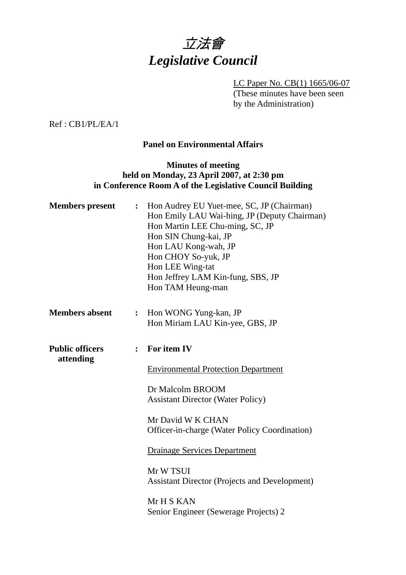

LC Paper No. CB(1) 1665/06-07 (These minutes have been seen by the Administration)

Ref : CB1/PL/EA/1

## **Panel on Environmental Affairs**

## **Minutes of meeting held on Monday, 23 April 2007, at 2:30 pm in Conference Room A of the Legislative Council Building**

| <b>Members</b> present              |                | : Hon Audrey EU Yuet-mee, SC, JP (Chairman)<br>Hon Emily LAU Wai-hing, JP (Deputy Chairman)<br>Hon Martin LEE Chu-ming, SC, JP<br>Hon SIN Chung-kai, JP<br>Hon LAU Kong-wah, JP<br>Hon CHOY So-yuk, JP<br>Hon LEE Wing-tat<br>Hon Jeffrey LAM Kin-fung, SBS, JP<br>Hon TAM Heung-man |
|-------------------------------------|----------------|--------------------------------------------------------------------------------------------------------------------------------------------------------------------------------------------------------------------------------------------------------------------------------------|
| <b>Members absent</b>               | $\ddot{\cdot}$ | Hon WONG Yung-kan, JP                                                                                                                                                                                                                                                                |
|                                     |                | Hon Miriam LAU Kin-yee, GBS, JP                                                                                                                                                                                                                                                      |
| <b>Public officers</b><br>attending | $\ddot{\cdot}$ | For item IV                                                                                                                                                                                                                                                                          |
|                                     |                | <b>Environmental Protection Department</b>                                                                                                                                                                                                                                           |
|                                     |                | Dr Malcolm BROOM<br><b>Assistant Director (Water Policy)</b>                                                                                                                                                                                                                         |
|                                     |                | Mr David W K CHAN<br>Officer-in-charge (Water Policy Coordination)                                                                                                                                                                                                                   |
|                                     |                | <b>Drainage Services Department</b>                                                                                                                                                                                                                                                  |
|                                     |                | Mr W TSUI<br><b>Assistant Director (Projects and Development)</b>                                                                                                                                                                                                                    |
|                                     |                | Mr H S KAN<br>Senior Engineer (Sewerage Projects) 2                                                                                                                                                                                                                                  |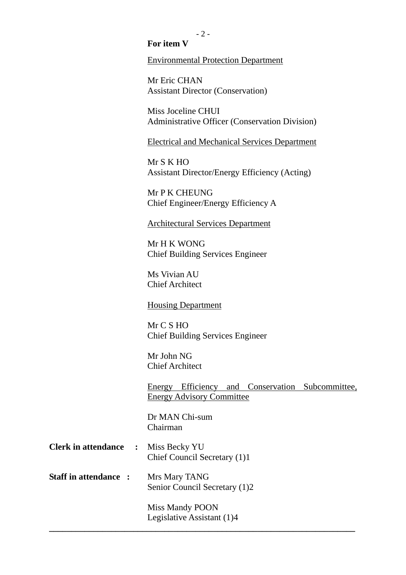### **For item V**

Environmental Protection Department

Mr Eric CHAN Assistant Director (Conservation)

Miss Joceline CHUI Administrative Officer (Conservation Division)

Electrical and Mechanical Services Department

Mr S K HO Assistant Director/Energy Efficiency (Acting)

Mr P K CHEUNG Chief Engineer/Energy Efficiency A

Architectural Services Department

Mr H K WONG Chief Building Services Engineer

Ms Vivian AU Chief Architect

Housing Department

Mr C S HO Chief Building Services Engineer

Mr John NG Chief Architect

Energy Efficiency and Conservation Subcommittee, Energy Advisory Committee

Dr MAN Chi-sum Chairman

- **Clerk in attendance :** Miss Becky YU Chief Council Secretary (1)1
- **Staff in attendance :** Mrs Mary TANG Senior Council Secretary (1)2

Miss Mandy POON Legislative Assistant (1)4

**\_\_\_\_\_\_\_\_\_\_\_\_\_\_\_\_\_\_\_\_\_\_\_\_\_\_\_\_\_\_\_\_\_\_\_\_\_\_\_\_\_\_\_\_\_\_\_\_\_\_\_\_\_\_\_\_\_\_\_\_\_\_\_\_\_\_\_\_\_**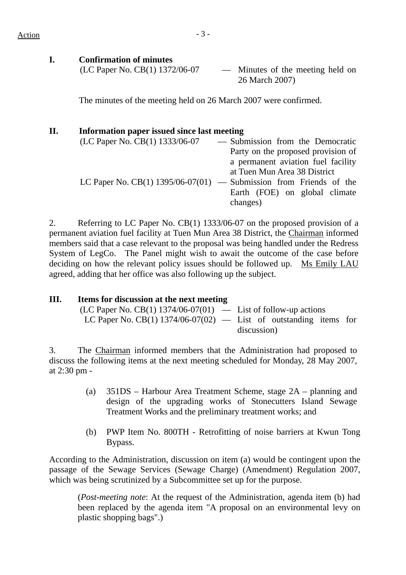**I. Confirmation of minutes**  (LC Paper No. CB(1) 1372/06-07 — Minutes of the meeting held on 26 March 2007)

The minutes of the meeting held on 26 March 2007 were confirmed.

## **II. Information paper issued since last meeting**

| (LC Paper No. CB(1) 1333/06-07 | - Submission from the Democratic                                     |
|--------------------------------|----------------------------------------------------------------------|
|                                | Party on the proposed provision of                                   |
|                                | a permanent aviation fuel facility                                   |
|                                | at Tuen Mun Area 38 District                                         |
|                                | LC Paper No. $CB(1)$ 1395/06-07(01) — Submission from Friends of the |
|                                | Earth (FOE) on global climate                                        |
|                                | changes)                                                             |

2. Referring to LC Paper No. CB(1) 1333/06-07 on the proposed provision of a permanent aviation fuel facility at Tuen Mun Area 38 District, the Chairman informed members said that a case relevant to the proposal was being handled under the Redress System of LegCo. The Panel might wish to await the outcome of the case before deciding on how the relevant policy issues should be followed up. Ms Emily LAU agreed, adding that her office was also following up the subject.

| Ш. | Items for discussion at the next meeting                            |             |
|----|---------------------------------------------------------------------|-------------|
|    | $(LC$ Paper No. CB(1) 1374/06-07(01) — List of follow-up actions    |             |
|    | LC Paper No. CB(1) $1374/06-07(02)$ — List of outstanding items for |             |
|    |                                                                     | discussion) |
|    |                                                                     |             |

3. The Chairman informed members that the Administration had proposed to discuss the following items at the next meeting scheduled for Monday, 28 May 2007, at 2:30 pm -

- (a) 351DS Harbour Area Treatment Scheme, stage 2A planning and design of the upgrading works of Stonecutters Island Sewage Treatment Works and the preliminary treatment works; and
- (b) PWP Item No. 800TH Retrofitting of noise barriers at Kwun Tong Bypass.

According to the Administration, discussion on item (a) would be contingent upon the passage of the Sewage Services (Sewage Charge) (Amendment) Regulation 2007, which was being scrutinized by a Subcommittee set up for the purpose.

(*Post-meeting note*: At the request of the Administration, agenda item (b) had been replaced by the agenda item "A proposal on an environmental levy on plastic shopping bags".)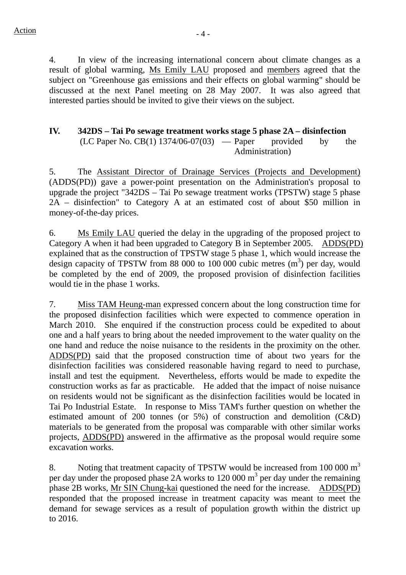4. In view of the increasing international concern about climate changes as a result of global warming, Ms Emily LAU proposed and members agreed that the subject on "Greenhouse gas emissions and their effects on global warming" should be discussed at the next Panel meeting on 28 May 2007. It was also agreed that interested parties should be invited to give their views on the subject.

# **IV. 342DS – Tai Po sewage treatment works stage 5 phase 2A – disinfection**

 $(LC$  Paper No.  $CB(1)$  1374/06-07(03) — Paper provided by the Administration)

5. The Assistant Director of Drainage Services (Projects and Development) (ADDS(PD)) gave a power-point presentation on the Administration's proposal to upgrade the project "342DS – Tai Po sewage treatment works (TPSTW) stage 5 phase 2A – disinfection" to Category A at an estimated cost of about \$50 million in money-of-the-day prices.

6. Ms Emily LAU queried the delay in the upgrading of the proposed project to Category A when it had been upgraded to Category B in September 2005. ADDS(PD) explained that as the construction of TPSTW stage 5 phase 1, which would increase the design capacity of TPSTW from 88 000 to 100 000 cubic metres  $(m<sup>3</sup>)$  per day, would be completed by the end of 2009, the proposed provision of disinfection facilities would tie in the phase 1 works.

7. Miss TAM Heung-man expressed concern about the long construction time for the proposed disinfection facilities which were expected to commence operation in March 2010. She enquired if the construction process could be expedited to about one and a half years to bring about the needed improvement to the water quality on the one hand and reduce the noise nuisance to the residents in the proximity on the other. ADDS(PD) said that the proposed construction time of about two years for the disinfection facilities was considered reasonable having regard to need to purchase, install and test the equipment. Nevertheless, efforts would be made to expedite the construction works as far as practicable. He added that the impact of noise nuisance on residents would not be significant as the disinfection facilities would be located in Tai Po Industrial Estate. In response to Miss TAM's further question on whether the estimated amount of 200 tonnes (or 5%) of construction and demolition (C&D) materials to be generated from the proposal was comparable with other similar works projects, ADDS(PD) answered in the affirmative as the proposal would require some excavation works.

8. Noting that treatment capacity of TPSTW would be increased from 100 000 m<sup>3</sup> per day under the proposed phase 2A works to 120 000  $\text{m}^3$  per day under the remaining phase 2B works, Mr SIN Chung-kai questioned the need for the increase. ADDS(PD) responded that the proposed increase in treatment capacity was meant to meet the demand for sewage services as a result of population growth within the district up to 2016.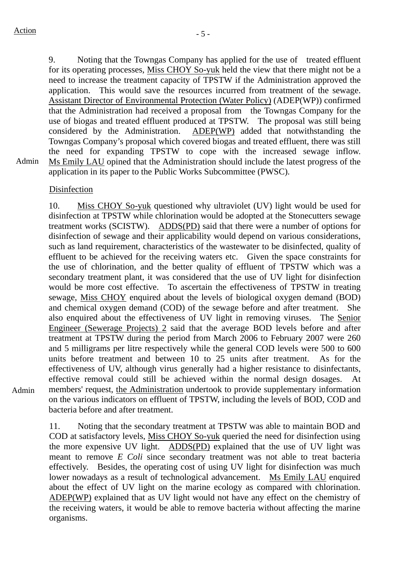9. Noting that the Towngas Company has applied for the use of treated effluent for its operating processes, Miss CHOY So-yuk held the view that there might not be a need to increase the treatment capacity of TPSTW if the Administration approved the application. This would save the resources incurred from treatment of the sewage. Assistant Director of Environmental Protection (Water Policy) (ADEP(WP)) confirmed that the Administration had received a proposal from the Towngas Company for the use of biogas and treated effluent produced at TPSTW. The proposal was still being considered by the Administration. ADEP(WP) added that notwithstanding the Towngas Company's proposal which covered biogas and treated effluent, there was still the need for expanding TPSTW to cope with the increased sewage inflow. Ms Emily LAU opined that the Administration should include the latest progress of the application in its paper to the Public Works Subcommittee (PWSC).

Admin

## Disinfection

10. Miss CHOY So-yuk questioned why ultraviolet (UV) light would be used for disinfection at TPSTW while chlorination would be adopted at the Stonecutters sewage treatment works (SCISTW). ADDS(PD) said that there were a number of options for disinfection of sewage and their applicability would depend on various considerations, such as land requirement, characteristics of the wastewater to be disinfected, quality of effluent to be achieved for the receiving waters etc. Given the space constraints for the use of chlorination, and the better quality of effluent of TPSTW which was a secondary treatment plant, it was considered that the use of UV light for disinfection would be more cost effective. To ascertain the effectiveness of TPSTW in treating sewage, Miss CHOY enquired about the levels of biological oxygen demand (BOD) and chemical oxygen demand (COD) of the sewage before and after treatment. She also enquired about the effectiveness of UV light in removing viruses. The Senior Engineer (Sewerage Projects) 2 said that the average BOD levels before and after treatment at TPSTW during the period from March 2006 to February 2007 were 260 and 5 milligrams per litre respectively while the general COD levels were 500 to 600 units before treatment and between 10 to 25 units after treatment. As for the effectiveness of UV, although virus generally had a higher resistance to disinfectants, effective removal could still be achieved within the normal design dosages. members' request, the Administration undertook to provide supplementary information on the various indicators on effluent of TPSTW, including the levels of BOD, COD and bacteria before and after treatment.

Admin

11. Noting that the secondary treatment at TPSTW was able to maintain BOD and COD at satisfactory levels, Miss CHOY So-yuk queried the need for disinfection using the more expensive UV light. ADDS(PD) explained that the use of UV light was meant to remove *E Coli* since secondary treatment was not able to treat bacteria effectively. Besides, the operating cost of using UV light for disinfection was much lower nowadays as a result of technological advancement. Ms Emily LAU enquired about the effect of UV light on the marine ecology as compared with chlorination. ADEP(WP) explained that as UV light would not have any effect on the chemistry of the receiving waters, it would be able to remove bacteria without affecting the marine organisms.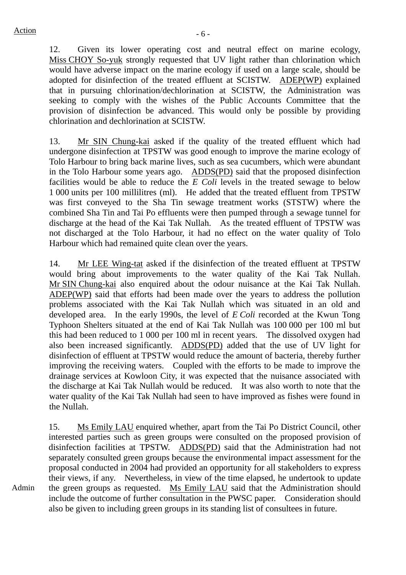Admin

12. Given its lower operating cost and neutral effect on marine ecology, Miss CHOY So-yuk strongly requested that UV light rather than chlorination which would have adverse impact on the marine ecology if used on a large scale, should be adopted for disinfection of the treated effluent at SCISTW. ADEP(WP) explained that in pursuing chlorination/dechlorination at SCISTW, the Administration was seeking to comply with the wishes of the Public Accounts Committee that the provision of disinfection be advanced. This would only be possible by providing chlorination and dechlorination at SCISTW.

13. Mr SIN Chung-kai asked if the quality of the treated effluent which had undergone disinfection at TPSTW was good enough to improve the marine ecology of Tolo Harbour to bring back marine lives, such as sea cucumbers, which were abundant in the Tolo Harbour some years ago. ADDS(PD) said that the proposed disinfection facilities would be able to reduce the *E Coli* levels in the treated sewage to below 1 000 units per 100 millilitres (ml). He added that the treated effluent from TPSTW was first conveyed to the Sha Tin sewage treatment works (STSTW) where the combined Sha Tin and Tai Po effluents were then pumped through a sewage tunnel for discharge at the head of the Kai Tak Nullah. As the treated effluent of TPSTW was not discharged at the Tolo Harbour, it had no effect on the water quality of Tolo Harbour which had remained quite clean over the years.

14. Mr LEE Wing-tat asked if the disinfection of the treated effluent at TPSTW would bring about improvements to the water quality of the Kai Tak Nullah. Mr SIN Chung-kai also enquired about the odour nuisance at the Kai Tak Nullah. ADEP(WP) said that efforts had been made over the years to address the pollution problems associated with the Kai Tak Nullah which was situated in an old and developed area. In the early 1990s, the level of *E Coli* recorded at the Kwun Tong Typhoon Shelters situated at the end of Kai Tak Nullah was 100 000 per 100 ml but this had been reduced to 1 000 per 100 ml in recent years. The dissolved oxygen had also been increased significantly. ADDS(PD) added that the use of UV light for disinfection of effluent at TPSTW would reduce the amount of bacteria, thereby further improving the receiving waters. Coupled with the efforts to be made to improve the drainage services at Kowloon City, it was expected that the nuisance associated with the discharge at Kai Tak Nullah would be reduced. It was also worth to note that the water quality of the Kai Tak Nullah had seen to have improved as fishes were found in the Nullah.

15. Ms Emily LAU enquired whether, apart from the Tai Po District Council, other interested parties such as green groups were consulted on the proposed provision of disinfection facilities at TPSTW. ADDS(PD) said that the Administration had not separately consulted green groups because the environmental impact assessment for the proposal conducted in 2004 had provided an opportunity for all stakeholders to express their views, if any. Nevertheless, in view of the time elapsed, he undertook to update the green groups as requested. Ms Emily LAU said that the Administration should include the outcome of further consultation in the PWSC paper. Consideration should also be given to including green groups in its standing list of consultees in future.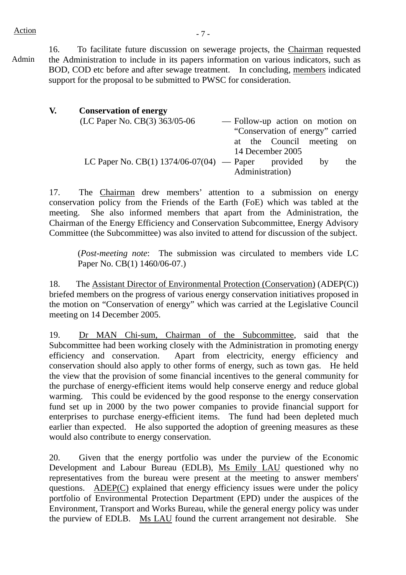Admin

16. To facilitate future discussion on sewerage projects, the Chairman requested the Administration to include in its papers information on various indicators, such as BOD, COD etc before and after sewage treatment. In concluding, members indicated support for the proposal to be submitted to PWSC for consideration.

| V. | <b>Conservation of energy</b>                        |  |                                  |    |     |
|----|------------------------------------------------------|--|----------------------------------|----|-----|
|    | (LC Paper No. CB(3) 363/05-06                        |  | - Follow-up action on motion on  |    |     |
|    |                                                      |  | "Conservation of energy" carried |    |     |
|    |                                                      |  | at the Council meeting on        |    |     |
|    |                                                      |  | 14 December 2005                 |    |     |
|    | LC Paper No. CB(1) $1374/06-07(04)$ - Paper provided |  |                                  | by | the |
|    |                                                      |  | Administration)                  |    |     |

17. The Chairman drew members' attention to a submission on energy conservation policy from the Friends of the Earth (FoE) which was tabled at the meeting. She also informed members that apart from the Administration, the Chairman of the Energy Efficiency and Conservation Subcommittee, Energy Advisory Committee (the Subcommittee) was also invited to attend for discussion of the subject.

(*Post-meeting note*: The submission was circulated to members vide LC Paper No. CB(1) 1460/06-07.)

18. The Assistant Director of Environmental Protection (Conservation) (ADEP(C)) briefed members on the progress of various energy conservation initiatives proposed in the motion on "Conservation of energy" which was carried at the Legislative Council meeting on 14 December 2005.

19. Dr MAN Chi-sum, Chairman of the Subcommittee, said that the Subcommittee had been working closely with the Administration in promoting energy efficiency and conservation. Apart from electricity, energy efficiency and conservation should also apply to other forms of energy, such as town gas. He held the view that the provision of some financial incentives to the general community for the purchase of energy-efficient items would help conserve energy and reduce global warming. This could be evidenced by the good response to the energy conservation fund set up in 2000 by the two power companies to provide financial support for enterprises to purchase energy-efficient items. The fund had been depleted much earlier than expected. He also supported the adoption of greening measures as these would also contribute to energy conservation.

20. Given that the energy portfolio was under the purview of the Economic Development and Labour Bureau (EDLB), Ms Emily LAU questioned why no representatives from the bureau were present at the meeting to answer members' questions. ADEP(C) explained that energy efficiency issues were under the policy portfolio of Environmental Protection Department (EPD) under the auspices of the Environment, Transport and Works Bureau, while the general energy policy was under the purview of EDLB. Ms LAU found the current arrangement not desirable. She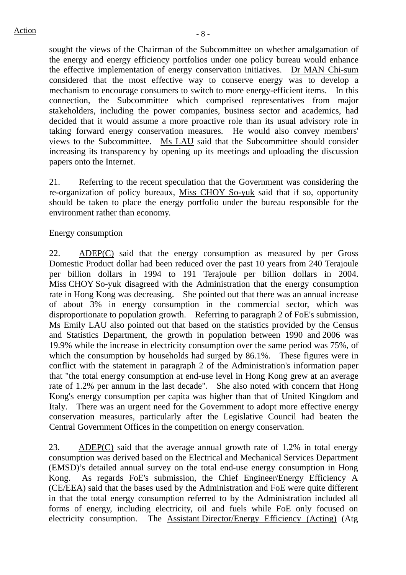sought the views of the Chairman of the Subcommittee on whether amalgamation of the energy and energy efficiency portfolios under one policy bureau would enhance the effective implementation of energy conservation initiatives. Dr MAN Chi-sum considered that the most effective way to conserve energy was to develop a mechanism to encourage consumers to switch to more energy-efficient items. In this connection, the Subcommittee which comprised representatives from major stakeholders, including the power companies, business sector and academics, had decided that it would assume a more proactive role than its usual advisory role in taking forward energy conservation measures. He would also convey members' views to the Subcommittee. Ms LAU said that the Subcommittee should consider increasing its transparency by opening up its meetings and uploading the discussion papers onto the Internet.

21. Referring to the recent speculation that the Government was considering the re-organization of policy bureaux, Miss CHOY So-yuk said that if so, opportunity should be taken to place the energy portfolio under the bureau responsible for the environment rather than economy.

### Energy consumption

22. ADEP(C) said that the energy consumption as measured by per Gross Domestic Product dollar had been reduced over the past 10 years from 240 Terajoule per billion dollars in 1994 to 191 Terajoule per billion dollars in 2004. Miss CHOY So-yuk disagreed with the Administration that the energy consumption rate in Hong Kong was decreasing. She pointed out that there was an annual increase of about 3% in energy consumption in the commercial sector, which was disproportionate to population growth. Referring to paragraph 2 of FoE's submission, Ms Emily LAU also pointed out that based on the statistics provided by the Census and Statistics Department, the growth in population between 1990 and 2006 was 19.9% while the increase in electricity consumption over the same period was 75%, of which the consumption by households had surged by 86.1%. These figures were in conflict with the statement in paragraph 2 of the Administration's information paper that "the total energy consumption at end-use level in Hong Kong grew at an average rate of 1.2% per annum in the last decade". She also noted with concern that Hong Kong's energy consumption per capita was higher than that of United Kingdom and Italy. There was an urgent need for the Government to adopt more effective energy conservation measures, particularly after the Legislative Council had beaten the Central Government Offices in the competition on energy conservation.

23. ADEP(C) said that the average annual growth rate of 1.2% in total energy consumption was derived based on the Electrical and Mechanical Services Department (EMSD)'s detailed annual survey on the total end-use energy consumption in Hong Kong. As regards FoE's submission, the Chief Engineer/Energy Efficiency A (CE/EEA) said that the bases used by the Administration and FoE were quite different in that the total energy consumption referred to by the Administration included all forms of energy, including electricity, oil and fuels while FoE only focused on electricity consumption. The Assistant Director/Energy Efficiency (Acting) (Atg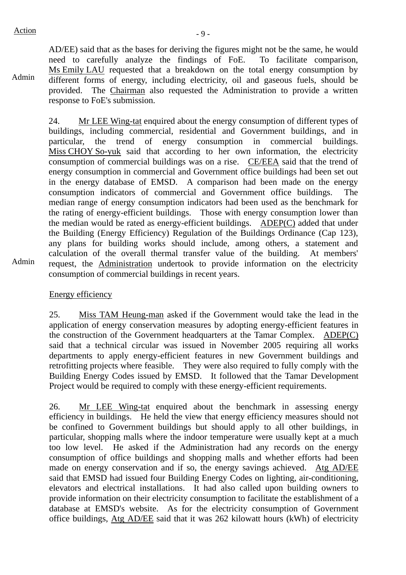Admin AD/EE) said that as the bases for deriving the figures might not be the same, he would need to carefully analyze the findings of FoE. To facilitate comparison, Ms Emily LAU requested that a breakdown on the total energy consumption by different forms of energy, including electricity, oil and gaseous fuels, should be provided. The Chairman also requested the Administration to provide a written response to FoE's submission.

24. Mr LEE Wing-tat enquired about the energy consumption of different types of buildings, including commercial, residential and Government buildings, and in particular, the trend of energy consumption in commercial buildings. Miss CHOY So-yuk said that according to her own information, the electricity consumption of commercial buildings was on a rise. CE/EEA said that the trend of energy consumption in commercial and Government office buildings had been set out in the energy database of EMSD. A comparison had been made on the energy consumption indicators of commercial and Government office buildings. The median range of energy consumption indicators had been used as the benchmark for the rating of energy-efficient buildings. Those with energy consumption lower than the median would be rated as energy-efficient buildings. ADEP(C) added that under the Building (Energy Efficiency) Regulation of the Buildings Ordinance (Cap 123), any plans for building works should include, among others, a statement and calculation of the overall thermal transfer value of the building. At members' request, the Administration undertook to provide information on the electricity consumption of commercial buildings in recent years.

Admin

Energy efficiency

25. Miss TAM Heung-man asked if the Government would take the lead in the application of energy conservation measures by adopting energy-efficient features in the construction of the Government headquarters at the Tamar Complex. ADEP(C) said that a technical circular was issued in November 2005 requiring all works departments to apply energy-efficient features in new Government buildings and retrofitting projects where feasible. They were also required to fully comply with the Building Energy Codes issued by EMSD. It followed that the Tamar Development Project would be required to comply with these energy-efficient requirements.

26. Mr LEE Wing-tat enquired about the benchmark in assessing energy efficiency in buildings. He held the view that energy efficiency measures should not be confined to Government buildings but should apply to all other buildings, in particular, shopping malls where the indoor temperature were usually kept at a much too low level. He asked if the Administration had any records on the energy consumption of office buildings and shopping malls and whether efforts had been made on energy conservation and if so, the energy savings achieved. Atg AD/EE said that EMSD had issued four Building Energy Codes on lighting, air-conditioning, elevators and electrical installations. It had also called upon building owners to provide information on their electricity consumption to facilitate the establishment of a database at EMSD's website. As for the electricity consumption of Government office buildings, Atg AD/EE said that it was 262 kilowatt hours (kWh) of electricity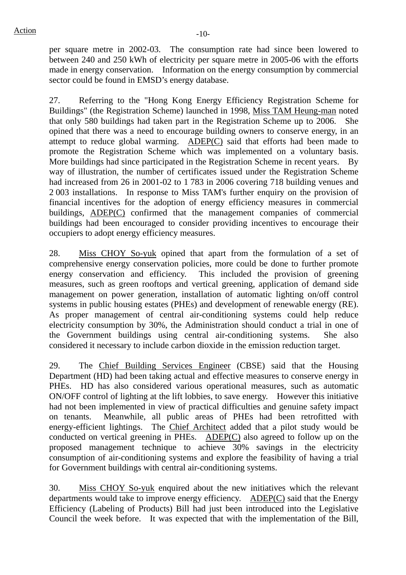per square metre in 2002-03. The consumption rate had since been lowered to between 240 and 250 kWh of electricity per square metre in 2005-06 with the efforts made in energy conservation. Information on the energy consumption by commercial sector could be found in EMSD's energy database.

27. Referring to the "Hong Kong Energy Efficiency Registration Scheme for Buildings" (the Registration Scheme) launched in 1998, Miss TAM Heung-man noted that only 580 buildings had taken part in the Registration Scheme up to 2006. She opined that there was a need to encourage building owners to conserve energy, in an attempt to reduce global warming. ADEP(C) said that efforts had been made to promote the Registration Scheme which was implemented on a voluntary basis. More buildings had since participated in the Registration Scheme in recent years. By way of illustration, the number of certificates issued under the Registration Scheme had increased from 26 in 2001-02 to 1 783 in 2006 covering 718 building venues and 2 003 installations. In response to Miss TAM's further enquiry on the provision of financial incentives for the adoption of energy efficiency measures in commercial buildings, ADEP(C) confirmed that the management companies of commercial buildings had been encouraged to consider providing incentives to encourage their occupiers to adopt energy efficiency measures.

28. Miss CHOY So-yuk opined that apart from the formulation of a set of comprehensive energy conservation policies, more could be done to further promote energy conservation and efficiency. This included the provision of greening measures, such as green rooftops and vertical greening, application of demand side management on power generation, installation of automatic lighting on/off control systems in public housing estates (PHEs) and development of renewable energy (RE). As proper management of central air-conditioning systems could help reduce electricity consumption by 30%, the Administration should conduct a trial in one of the Government buildings using central air-conditioning systems. She also considered it necessary to include carbon dioxide in the emission reduction target.

29. The Chief Building Services Engineer (CBSE) said that the Housing Department (HD) had been taking actual and effective measures to conserve energy in PHEs. HD has also considered various operational measures, such as automatic ON/OFF control of lighting at the lift lobbies, to save energy. However this initiative had not been implemented in view of practical difficulties and genuine safety impact on tenants. Meanwhile, all public areas of PHEs had been retrofitted with energy-efficient lightings. The Chief Architect added that a pilot study would be conducted on vertical greening in PHEs. ADEP(C) also agreed to follow up on the proposed management technique to achieve 30% savings in the electricity consumption of air-conditioning systems and explore the feasibility of having a trial for Government buildings with central air-conditioning systems.

30. Miss CHOY So-yuk enquired about the new initiatives which the relevant departments would take to improve energy efficiency. ADEP(C) said that the Energy Efficiency (Labeling of Products) Bill had just been introduced into the Legislative Council the week before. It was expected that with the implementation of the Bill,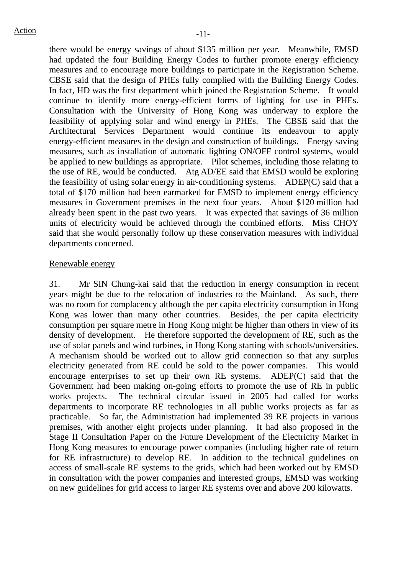there would be energy savings of about \$135 million per year. Meanwhile, EMSD had updated the four Building Energy Codes to further promote energy efficiency measures and to encourage more buildings to participate in the Registration Scheme. CBSE said that the design of PHEs fully complied with the Building Energy Codes. In fact, HD was the first department which joined the Registration Scheme. It would continue to identify more energy-efficient forms of lighting for use in PHEs. Consultation with the University of Hong Kong was underway to explore the feasibility of applying solar and wind energy in PHEs. The CBSE said that the Architectural Services Department would continue its endeavour to apply energy-efficient measures in the design and construction of buildings. Energy saving measures, such as installation of automatic lighting ON/OFF control systems, would be applied to new buildings as appropriate. Pilot schemes, including those relating to the use of RE, would be conducted. Atg AD/EE said that EMSD would be exploring the feasibility of using solar energy in air-conditioning systems. ADEP(C) said that a total of \$170 million had been earmarked for EMSD to implement energy efficiency measures in Government premises in the next four years. About \$120 million had already been spent in the past two years. It was expected that savings of 36 million units of electricity would be achieved through the combined efforts. Miss CHOY said that she would personally follow up these conservation measures with individual departments concerned.

### Renewable energy

31. Mr SIN Chung-kai said that the reduction in energy consumption in recent years might be due to the relocation of industries to the Mainland. As such, there was no room for complacency although the per capita electricity consumption in Hong Kong was lower than many other countries. Besides, the per capita electricity consumption per square metre in Hong Kong might be higher than others in view of its density of development. He therefore supported the development of RE, such as the use of solar panels and wind turbines, in Hong Kong starting with schools/universities. A mechanism should be worked out to allow grid connection so that any surplus electricity generated from RE could be sold to the power companies. This would encourage enterprises to set up their own RE systems.  $\triangle DEF(C)$  said that the Government had been making on-going efforts to promote the use of RE in public works projects. The technical circular issued in 2005 had called for works departments to incorporate RE technologies in all public works projects as far as practicable. So far, the Administration had implemented 39 RE projects in various premises, with another eight projects under planning. It had also proposed in the Stage II Consultation Paper on the Future Development of the Electricity Market in Hong Kong measures to encourage power companies (including higher rate of return for RE infrastructure) to develop RE. In addition to the technical guidelines on access of small-scale RE systems to the grids, which had been worked out by EMSD in consultation with the power companies and interested groups, EMSD was working on new guidelines for grid access to larger RE systems over and above 200 kilowatts.